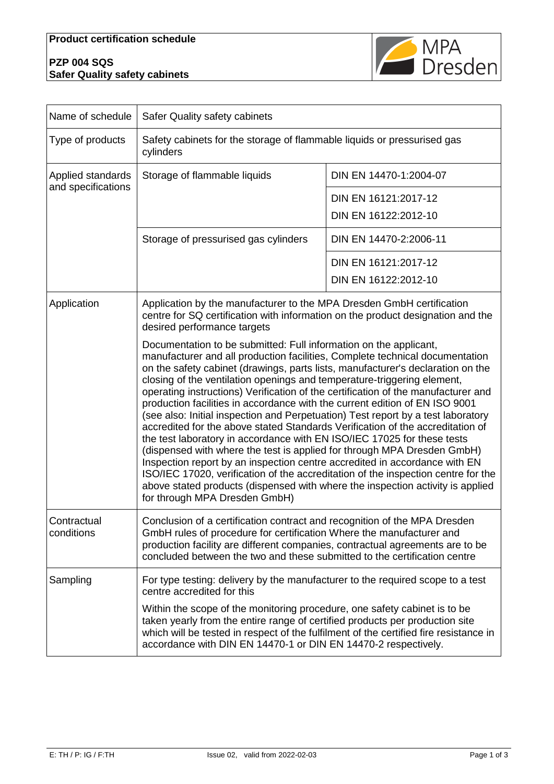## **PZP 004 SQS Safer Quality safety cabinets**



| Name of schedule                        | Safer Quality safety cabinets                                                                                                                                                                                                                                                                                                                                                                                                                                                                                                                                                                                                                                                                                                                                                                                                                                                                                                                                                                                                                                                                         |                        |  |
|-----------------------------------------|-------------------------------------------------------------------------------------------------------------------------------------------------------------------------------------------------------------------------------------------------------------------------------------------------------------------------------------------------------------------------------------------------------------------------------------------------------------------------------------------------------------------------------------------------------------------------------------------------------------------------------------------------------------------------------------------------------------------------------------------------------------------------------------------------------------------------------------------------------------------------------------------------------------------------------------------------------------------------------------------------------------------------------------------------------------------------------------------------------|------------------------|--|
| Type of products                        | Safety cabinets for the storage of flammable liquids or pressurised gas<br>cylinders                                                                                                                                                                                                                                                                                                                                                                                                                                                                                                                                                                                                                                                                                                                                                                                                                                                                                                                                                                                                                  |                        |  |
| Applied standards<br>and specifications | Storage of flammable liquids                                                                                                                                                                                                                                                                                                                                                                                                                                                                                                                                                                                                                                                                                                                                                                                                                                                                                                                                                                                                                                                                          | DIN EN 14470-1:2004-07 |  |
|                                         |                                                                                                                                                                                                                                                                                                                                                                                                                                                                                                                                                                                                                                                                                                                                                                                                                                                                                                                                                                                                                                                                                                       | DIN EN 16121:2017-12   |  |
|                                         |                                                                                                                                                                                                                                                                                                                                                                                                                                                                                                                                                                                                                                                                                                                                                                                                                                                                                                                                                                                                                                                                                                       | DIN EN 16122:2012-10   |  |
|                                         | Storage of pressurised gas cylinders                                                                                                                                                                                                                                                                                                                                                                                                                                                                                                                                                                                                                                                                                                                                                                                                                                                                                                                                                                                                                                                                  | DIN EN 14470-2:2006-11 |  |
|                                         |                                                                                                                                                                                                                                                                                                                                                                                                                                                                                                                                                                                                                                                                                                                                                                                                                                                                                                                                                                                                                                                                                                       | DIN EN 16121:2017-12   |  |
|                                         |                                                                                                                                                                                                                                                                                                                                                                                                                                                                                                                                                                                                                                                                                                                                                                                                                                                                                                                                                                                                                                                                                                       | DIN EN 16122:2012-10   |  |
| Application                             | Application by the manufacturer to the MPA Dresden GmbH certification<br>centre for SQ certification with information on the product designation and the<br>desired performance targets                                                                                                                                                                                                                                                                                                                                                                                                                                                                                                                                                                                                                                                                                                                                                                                                                                                                                                               |                        |  |
|                                         | Documentation to be submitted: Full information on the applicant,<br>manufacturer and all production facilities, Complete technical documentation<br>on the safety cabinet (drawings, parts lists, manufacturer's declaration on the<br>closing of the ventilation openings and temperature-triggering element,<br>operating instructions) Verification of the certification of the manufacturer and<br>production facilities in accordance with the current edition of EN ISO 9001<br>(see also: Initial inspection and Perpetuation) Test report by a test laboratory<br>accredited for the above stated Standards Verification of the accreditation of<br>the test laboratory in accordance with EN ISO/IEC 17025 for these tests<br>(dispensed with where the test is applied for through MPA Dresden GmbH)<br>Inspection report by an inspection centre accredited in accordance with EN<br>ISO/IEC 17020, verification of the accreditation of the inspection centre for the<br>above stated products (dispensed with where the inspection activity is applied<br>for through MPA Dresden GmbH) |                        |  |
| Contractual<br>conditions               | Conclusion of a certification contract and recognition of the MPA Dresden<br>GmbH rules of procedure for certification Where the manufacturer and<br>production facility are different companies, contractual agreements are to be<br>concluded between the two and these submitted to the certification centre                                                                                                                                                                                                                                                                                                                                                                                                                                                                                                                                                                                                                                                                                                                                                                                       |                        |  |
| Sampling                                | For type testing: delivery by the manufacturer to the required scope to a test<br>centre accredited for this<br>Within the scope of the monitoring procedure, one safety cabinet is to be<br>taken yearly from the entire range of certified products per production site<br>which will be tested in respect of the fulfilment of the certified fire resistance in<br>accordance with DIN EN 14470-1 or DIN EN 14470-2 respectively.                                                                                                                                                                                                                                                                                                                                                                                                                                                                                                                                                                                                                                                                  |                        |  |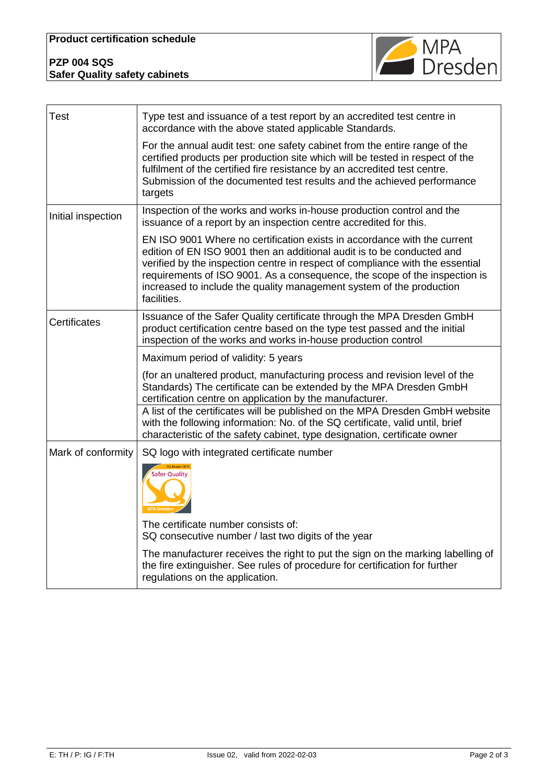| <b>PZP 004 SQS</b>                   |  |
|--------------------------------------|--|
| <b>Safer Quality safety cabinets</b> |  |



| <b>Test</b>         | Type test and issuance of a test report by an accredited test centre in<br>accordance with the above stated applicable Standards.                                                                                                                                                                                                                                                                        |  |
|---------------------|----------------------------------------------------------------------------------------------------------------------------------------------------------------------------------------------------------------------------------------------------------------------------------------------------------------------------------------------------------------------------------------------------------|--|
|                     | For the annual audit test: one safety cabinet from the entire range of the<br>certified products per production site which will be tested in respect of the<br>fulfilment of the certified fire resistance by an accredited test centre.<br>Submission of the documented test results and the achieved performance<br>targets                                                                            |  |
| Initial inspection  | Inspection of the works and works in-house production control and the<br>issuance of a report by an inspection centre accredited for this.                                                                                                                                                                                                                                                               |  |
|                     | EN ISO 9001 Where no certification exists in accordance with the current<br>edition of EN ISO 9001 then an additional audit is to be conducted and<br>verified by the inspection centre in respect of compliance with the essential<br>requirements of ISO 9001. As a consequence, the scope of the inspection is<br>increased to include the quality management system of the production<br>facilities. |  |
| <b>Certificates</b> | Issuance of the Safer Quality certificate through the MPA Dresden GmbH<br>product certification centre based on the type test passed and the initial<br>inspection of the works and works in-house production control                                                                                                                                                                                    |  |
|                     | Maximum period of validity: 5 years                                                                                                                                                                                                                                                                                                                                                                      |  |
|                     | (for an unaltered product, manufacturing process and revision level of the<br>Standards) The certificate can be extended by the MPA Dresden GmbH<br>certification centre on application by the manufacturer.                                                                                                                                                                                             |  |
|                     | A list of the certificates will be published on the MPA Dresden GmbH website<br>with the following information: No. of the SQ certificate, valid until, brief<br>characteristic of the safety cabinet, type designation, certificate owner                                                                                                                                                               |  |
| Mark of conformity  | SQ logo with integrated certificate number                                                                                                                                                                                                                                                                                                                                                               |  |
|                     | <b>Safer Quality</b>                                                                                                                                                                                                                                                                                                                                                                                     |  |
|                     | The certificate number consists of:<br>SQ consecutive number / last two digits of the year                                                                                                                                                                                                                                                                                                               |  |
|                     | The manufacturer receives the right to put the sign on the marking labelling of<br>the fire extinguisher. See rules of procedure for certification for further<br>regulations on the application.                                                                                                                                                                                                        |  |